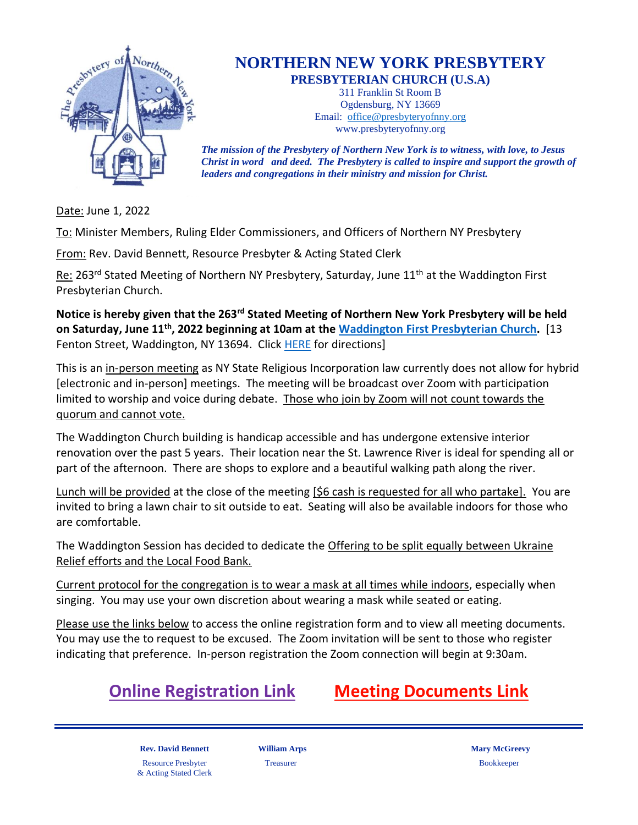

## **NORTHERN NEW YORK PRESBYTERY PRESBYTERIAN CHURCH (U.S.A)**

311 Franklin St Room B

Ogdensburg, NY 13669 Email: [office@presbyteryofnny.org](mailto:office@presbyteryofnny.org) www.presbyteryofnny.org

*The mission of the Presbytery of Northern New York is to witness, with love, to Jesus Christ in word and deed. The Presbytery is called to inspire and support the growth of leaders and congregations in their ministry and mission for Christ.*

Date: June 1, 2022

To: Minister Members, Ruling Elder Commissioners, and Officers of Northern NY Presbytery

From: Rev. David Bennett, Resource Presbyter & Acting Stated Clerk

Re: 263<sup>rd</sup> Stated Meeting of Northern NY Presbytery, Saturday, June 11<sup>th</sup> at the Waddington First Presbyterian Church.

**Notice is hereby given that the 263rd Stated Meeting of Northern New York Presbytery will be held on Saturday, June 11th, 2022 beginning at 10am at the [Waddington First Presbyterian Church.](https://waddingtonfirstpresbyterianchurch.webs.com/)** [13 Fenton Street, Waddington, NY 13694. Click [HERE](https://www.google.com/maps/dir/Waddington+First+Presbyterian+Church,+13+Fenton+St,+Waddington,+NY+13694/@44.864957,-75.2053814,17z/data=!4m9!4m8!1m0!1m5!1m1!1s0x4ccc494deacfdd0b:0xf25a4b7331167cc9!2m2!1d-75.2023291!2d44.8654067!3e0) for directions]

This is an in-person meeting as NY State Religious Incorporation law currently does not allow for hybrid [electronic and in-person] meetings. The meeting will be broadcast over Zoom with participation limited to worship and voice during debate. Those who join by Zoom will not count towards the quorum and cannot vote.

The Waddington Church building is handicap accessible and has undergone extensive interior renovation over the past 5 years. Their location near the St. Lawrence River is ideal for spending all or part of the afternoon. There are shops to explore and a beautiful walking path along the river.

Lunch will be provided at the close of the meeting [\$6 cash is requested for all who partake]. You are invited to bring a lawn chair to sit outside to eat. Seating will also be available indoors for those who are comfortable.

The Waddington Session has decided to dedicate the Offering to be split equally between Ukraine Relief efforts and the Local Food Bank.

Current protocol for the congregation is to wear a mask at all times while indoors, especially when singing. You may use your own discretion about wearing a mask while seated or eating.

Please use the links below to access the online registration form and to view all meeting documents. You may use the to request to be excused. The Zoom invitation will be sent to those who register indicating that preference. In-person registration the Zoom connection will begin at 9:30am.



**Rev. David Bennett Milliam Arps Mary McGreevy Mary McGreevy** Resource Presbyter & Acting Stated Clerk

Treasurer Bookkeeper